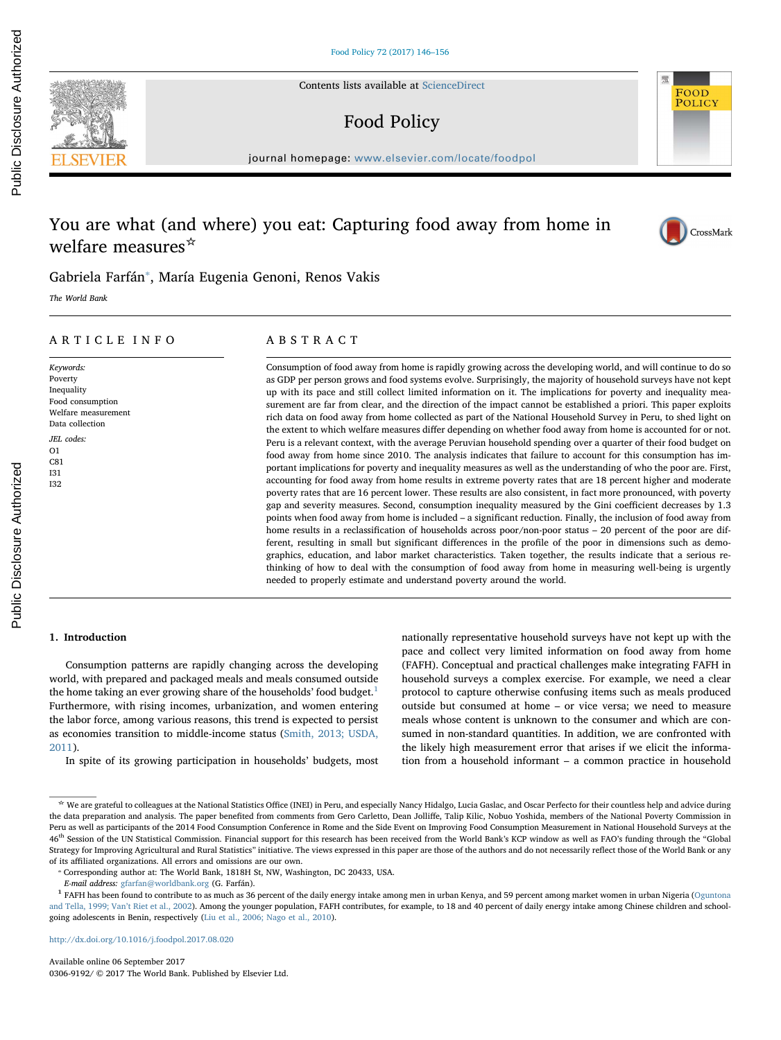Contents lists available at [ScienceDirect](http://www.sciencedirect.com/science/journal/03069192)

# Food Policy

journal homepage: [www.elsevier.com/locate/foodpol](http://www.elsevier.com/locate/foodpol)

# You are what (and where) you eat: Capturing food away from home in welfare measures<sup>☆</sup>

Gabriela Farfán[⁎](#page-0-0) , María Eugenia Genoni, Renos Vakis

The World Bank

# ARTICLE INFO

# Keywords: Poverty Inequality Food consumption Welfare measurement Data collection JEL codes: O1 C81 I31 I32

# ABSTRACT

Consumption of food away from home is rapidly growing across the developing world, and will continue to do so as GDP per person grows and food systems evolve. Surprisingly, the majority of household surveys have not kept up with its pace and still collect limited information on it. The implications for poverty and inequality measurement are far from clear, and the direction of the impact cannot be established a priori. This paper exploits rich data on food away from home collected as part of the National Household Survey in Peru, to shed light on the extent to which welfare measures differ depending on whether food away from home is accounted for or not. Peru is a relevant context, with the average Peruvian household spending over a quarter of their food budget on food away from home since 2010. The analysis indicates that failure to account for this consumption has important implications for poverty and inequality measures as well as the understanding of who the poor are. First, accounting for food away from home results in extreme poverty rates that are 18 percent higher and moderate poverty rates that are 16 percent lower. These results are also consistent, in fact more pronounced, with poverty gap and severity measures. Second, consumption inequality measured by the Gini coefficient decreases by 1.3 points when food away from home is included – a significant reduction. Finally, the inclusion of food away from home results in a reclassification of households across poor/non-poor status – 20 percent of the poor are different, resulting in small but significant differences in the profile of the poor in dimensions such as demographics, education, and labor market characteristics. Taken together, the results indicate that a serious rethinking of how to deal with the consumption of food away from home in measuring well-being is urgently needed to properly estimate and understand poverty around the world.

# 1. Introduction

Public Disclosure Authorized

Public Disclosure Authorized

Consumption patterns are rapidly changing across the developing world, with prepared and packaged meals and meals consumed outside the home taking an ever growing share of the households' food budget.<sup>[1](#page-0-1)</sup> Furthermore, with rising incomes, urbanization, and women entering the labor force, among various reasons, this trend is expected to persist as economies transition to middle-income status ([Smith, 2013; USDA,](#page-10-0) [2011\)](#page-10-0).

In spite of its growing participation in households' budgets, most

nationally representative household surveys have not kept up with the pace and collect very limited information on food away from home (FAFH). Conceptual and practical challenges make integrating FAFH in household surveys a complex exercise. For example, we need a clear protocol to capture otherwise confusing items such as meals produced outside but consumed at home – or vice versa; we need to measure meals whose content is unknown to the consumer and which are consumed in non-standard quantities. In addition, we are confronted with the likely high measurement error that arises if we elicit the information from a household informant – a common practice in household

FOOD **POLICY** 

<sup>☆</sup> We are grateful to colleagues at the National Statistics Office (INEI) in Peru, and especially Nancy Hidalgo, Lucia Gaslac, and Oscar Perfecto for their countless help and advice during the data preparation and analysis. The paper benefited from comments from Gero Carletto, Dean Jolliffe, Talip Kilic, Nobuo Yoshida, members of the National Poverty Commission in Peru as well as participants of the 2014 Food Consumption Conference in Rome and the Side Event on Improving Food Consumption Measurement in National Household Surveys at the 46<sup>th</sup> Session of the UN Statistical Commission. Financial support for this research has been received from the World Bank's KCP window as well as FAO's funding through the "Global Strategy for Improving Agricultural and Rural Statistics" initiative. The views expressed in this paper are those of the authors and do not necessarily reflect those of the World Bank or any of its affiliated organizations. All errors and omissions are our own.<br>
<br>
<sup>\*</sup> Corresponding author at: The World Bank, 1818H St, NW, Washington, DC 20433, USA.

<span id="page-0-0"></span>

<span id="page-0-1"></span>E-mail address: [gfarfan@worldbank.org](mailto:gfarfan@worldbank.org) (G. Farfán).<br><sup>1</sup> FAFH has been found to contribute to as much as 36 percent of the daily energy intake among me in urban Kenya, and 59 percent among market women in urban Nigeria (Ogun [and Tella, 1999; Van](#page-10-1)'t Riet et al., 2002). Among the younger population, FAFH contributes, for example, to 18 and 40 percent of daily energy intake among Chinese children and schoolgoing adolescents in Benin, respectively ([Liu et al., 2006; Nago et al., 2010\)](#page-10-2).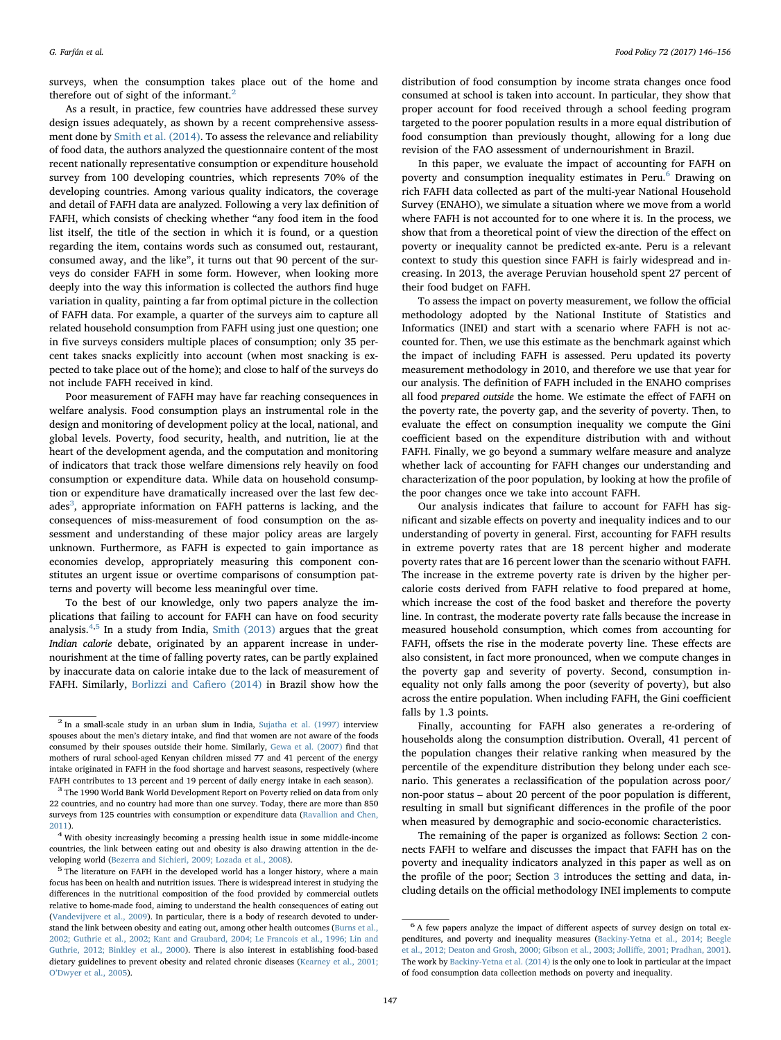surveys, when the consumption takes place out of the home and therefore out of sight of the informant.<sup>[2](#page-1-0)</sup>

As a result, in practice, few countries have addressed these survey design issues adequately, as shown by a recent comprehensive assessment done by [Smith et al. \(2014\).](#page-10-3) To assess the relevance and reliability of food data, the authors analyzed the questionnaire content of the most recent nationally representative consumption or expenditure household survey from 100 developing countries, which represents 70% of the developing countries. Among various quality indicators, the coverage and detail of FAFH data are analyzed. Following a very lax definition of FAFH, which consists of checking whether "any food item in the food list itself, the title of the section in which it is found, or a question regarding the item, contains words such as consumed out, restaurant, consumed away, and the like", it turns out that 90 percent of the surveys do consider FAFH in some form. However, when looking more deeply into the way this information is collected the authors find huge variation in quality, painting a far from optimal picture in the collection of FAFH data. For example, a quarter of the surveys aim to capture all related household consumption from FAFH using just one question; one in five surveys considers multiple places of consumption; only 35 percent takes snacks explicitly into account (when most snacking is expected to take place out of the home); and close to half of the surveys do not include FAFH received in kind.

Poor measurement of FAFH may have far reaching consequences in welfare analysis. Food consumption plays an instrumental role in the design and monitoring of development policy at the local, national, and global levels. Poverty, food security, health, and nutrition, lie at the heart of the development agenda, and the computation and monitoring of indicators that track those welfare dimensions rely heavily on food consumption or expenditure data. While data on household consumption or expenditure have dramatically increased over the last few decades $3$ , appropriate information on FAFH patterns is lacking, and the consequences of miss-measurement of food consumption on the assessment and understanding of these major policy areas are largely unknown. Furthermore, as FAFH is expected to gain importance as economies develop, appropriately measuring this component constitutes an urgent issue or overtime comparisons of consumption patterns and poverty will become less meaningful over time.

To the best of our knowledge, only two papers analyze the implications that failing to account for FAFH can have on food security analysis.[4](#page-1-2),[5](#page-1-3) In a study from India, [Smith \(2013\)](#page-10-0) argues that the great Indian calorie debate, originated by an apparent increase in undernourishment at the time of falling poverty rates, can be partly explained by inaccurate data on calorie intake due to the lack of measurement of FAFH. Similarly, [Borlizzi and Ca](#page-9-0)fiero (2014) in Brazil show how the

distribution of food consumption by income strata changes once food consumed at school is taken into account. In particular, they show that proper account for food received through a school feeding program targeted to the poorer population results in a more equal distribution of food consumption than previously thought, allowing for a long due revision of the FAO assessment of undernourishment in Brazil.

In this paper, we evaluate the impact of accounting for FAFH on poverty and consumption inequality estimates in Peru.<sup>[6](#page-1-4)</sup> Drawing on rich FAFH data collected as part of the multi-year National Household Survey (ENAHO), we simulate a situation where we move from a world where FAFH is not accounted for to one where it is. In the process, we show that from a theoretical point of view the direction of the effect on poverty or inequality cannot be predicted ex-ante. Peru is a relevant context to study this question since FAFH is fairly widespread and increasing. In 2013, the average Peruvian household spent 27 percent of their food budget on FAFH.

To assess the impact on poverty measurement, we follow the official methodology adopted by the National Institute of Statistics and Informatics (INEI) and start with a scenario where FAFH is not accounted for. Then, we use this estimate as the benchmark against which the impact of including FAFH is assessed. Peru updated its poverty measurement methodology in 2010, and therefore we use that year for our analysis. The definition of FAFH included in the ENAHO comprises all food prepared outside the home. We estimate the effect of FAFH on the poverty rate, the poverty gap, and the severity of poverty. Then, to evaluate the effect on consumption inequality we compute the Gini coefficient based on the expenditure distribution with and without FAFH. Finally, we go beyond a summary welfare measure and analyze whether lack of accounting for FAFH changes our understanding and characterization of the poor population, by looking at how the profile of the poor changes once we take into account FAFH.

Our analysis indicates that failure to account for FAFH has significant and sizable effects on poverty and inequality indices and to our understanding of poverty in general. First, accounting for FAFH results in extreme poverty rates that are 18 percent higher and moderate poverty rates that are 16 percent lower than the scenario without FAFH. The increase in the extreme poverty rate is driven by the higher percalorie costs derived from FAFH relative to food prepared at home, which increase the cost of the food basket and therefore the poverty line. In contrast, the moderate poverty rate falls because the increase in measured household consumption, which comes from accounting for FAFH, offsets the rise in the moderate poverty line. These effects are also consistent, in fact more pronounced, when we compute changes in the poverty gap and severity of poverty. Second, consumption inequality not only falls among the poor (severity of poverty), but also across the entire population. When including FAFH, the Gini coefficient falls by 1.3 points.

Finally, accounting for FAFH also generates a re-ordering of households along the consumption distribution. Overall, 41 percent of the population changes their relative ranking when measured by the percentile of the expenditure distribution they belong under each scenario. This generates a reclassification of the population across poor/ non-poor status – about 20 percent of the poor population is different, resulting in small but significant differences in the profile of the poor when measured by demographic and socio-economic characteristics.

The remaining of the paper is organized as follows: Section [2](#page-2-0) connects FAFH to welfare and discusses the impact that FAFH has on the poverty and inequality indicators analyzed in this paper as well as on the profile of the poor; Section [3](#page-3-0) introduces the setting and data, including details on the official methodology INEI implements to compute

<span id="page-1-0"></span><sup>2</sup> In a small-scale study in an urban slum in India, [Sujatha et al. \(1997\)](#page-10-4) interview spouses about the men's dietary intake, and find that women are not aware of the foods consumed by their spouses outside their home. Similarly, [Gewa et al. \(2007\)](#page-10-5) find that mothers of rural school-aged Kenyan children missed 77 and 41 percent of the energy intake originated in FAFH in the food shortage and harvest seasons, respectively (where

<span id="page-1-1"></span>FAFH contributes to 13 percent and 19 percent of daily energy intake in each season). <sup>3</sup> The 1990 World Bank World Development Report on Poverty relied on data from only 22 countries, and no country had more than one survey. Today, there are more than 850 surveys from 125 countries with consumption or expenditure data [\(Ravallion and Chen,](#page-10-6)

<span id="page-1-2"></span> $^\mathrm{2011)}.$  $^\mathrm{2011)}.$  $^\mathrm{2011)}.$   $^\mathrm{4}$  With obesity increasingly becoming a pressing health issue in some middle-income countries, the link between eating out and obesity is also drawing attention in the de-

<span id="page-1-3"></span>veloping world ([Bezerra and Sichieri, 2009; Lozada et al., 2008](#page-9-1)).  $^5$  The literature on FAFH in the developed world has a longer history, where a main  $^5$ focus has been on health and nutrition issues. There is widespread interest in studying the differences in the nutritional composition of the food provided by commercial outlets relative to home-made food, aiming to understand the health consequences of eating out ([Vandevijvere et al., 2009](#page-10-7)). In particular, there is a body of research devoted to understand the link between obesity and eating out, among other health outcomes [\(Burns et al.,](#page-9-2) [2002; Guthrie et al., 2002; Kant and Graubard, 2004; Le Francois et al., 1996; Lin and](#page-9-2) [Guthrie, 2012; Binkley et al., 2000](#page-9-2)). There is also interest in establishing food-based dietary guidelines to prevent obesity and related chronic diseases [\(Kearney et al., 2001;](#page-10-8) O'[Dwyer et al., 2005](#page-10-8)).

<span id="page-1-4"></span><sup>6</sup> A few papers analyze the impact of different aspects of survey design on total expenditures, and poverty and inequality measures [\(Backiny-Yetna et al., 2014; Beegle](#page-9-3) [et al., 2012; Deaton and Grosh, 2000; Gibson et al., 2003; Jolli](#page-9-3)ffe, 2001; Pradhan, 2001). The work by [Backiny-Yetna et al. \(2014\)](#page-9-3) is the only one to look in particular at the impact of food consumption data collection methods on poverty and inequality.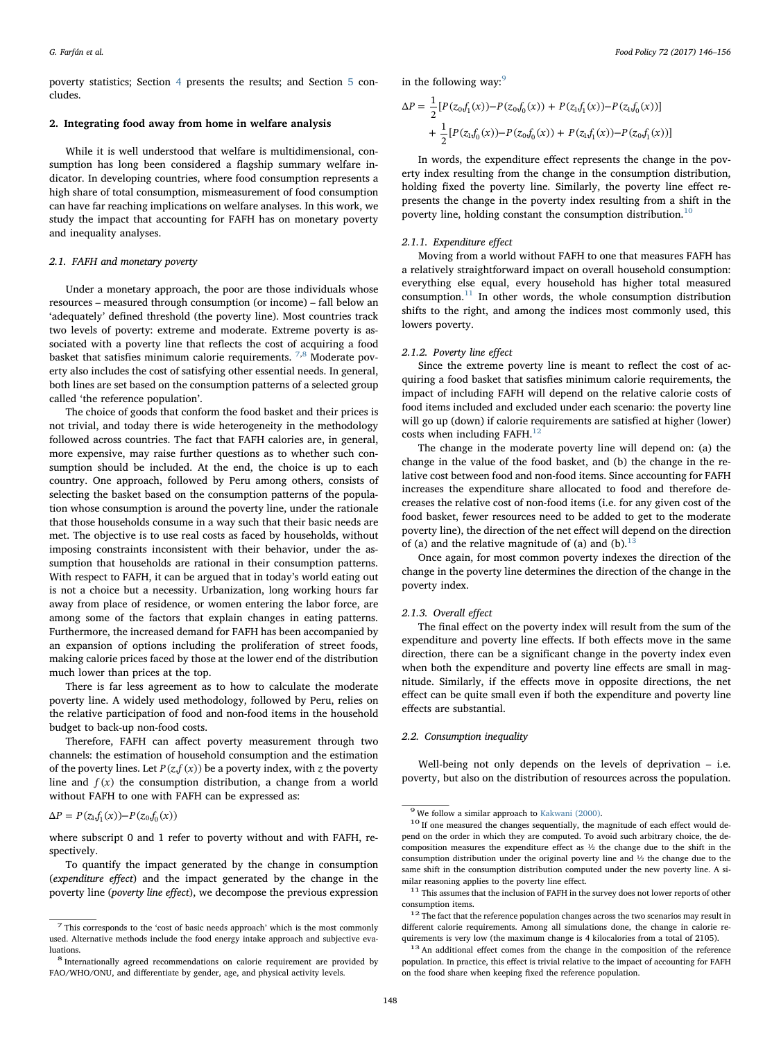poverty statistics; Section [4](#page-5-0) presents the results; and Section [5](#page-9-4) concludes.

#### <span id="page-2-0"></span>2. Integrating food away from home in welfare analysis

While it is well understood that welfare is multidimensional, consumption has long been considered a flagship summary welfare indicator. In developing countries, where food consumption represents a high share of total consumption, mismeasurement of food consumption can have far reaching implications on welfare analyses. In this work, we study the impact that accounting for FAFH has on monetary poverty and inequality analyses.

#### <span id="page-2-8"></span>2.1. FAFH and monetary poverty

Under a monetary approach, the poor are those individuals whose resources – measured through consumption (or income) – fall below an 'adequately' defined threshold (the poverty line). Most countries track two levels of poverty: extreme and moderate. Extreme poverty is associated with a poverty line that reflects the cost of acquiring a food basket that satisfies minimum calorie requirements.  $^{7,8}$  $^{7,8}$  $^{7,8}$  $^{7,8}$  Moderate poverty also includes the cost of satisfying other essential needs. In general, both lines are set based on the consumption patterns of a selected group called 'the reference population'.

The choice of goods that conform the food basket and their prices is not trivial, and today there is wide heterogeneity in the methodology followed across countries. The fact that FAFH calories are, in general, more expensive, may raise further questions as to whether such consumption should be included. At the end, the choice is up to each country. One approach, followed by Peru among others, consists of selecting the basket based on the consumption patterns of the population whose consumption is around the poverty line, under the rationale that those households consume in a way such that their basic needs are met. The objective is to use real costs as faced by households, without imposing constraints inconsistent with their behavior, under the assumption that households are rational in their consumption patterns. With respect to FAFH, it can be argued that in today's world eating out is not a choice but a necessity. Urbanization, long working hours far away from place of residence, or women entering the labor force, are among some of the factors that explain changes in eating patterns. Furthermore, the increased demand for FAFH has been accompanied by an expansion of options including the proliferation of street foods, making calorie prices faced by those at the lower end of the distribution much lower than prices at the top.

There is far less agreement as to how to calculate the moderate poverty line. A widely used methodology, followed by Peru, relies on the relative participation of food and non-food items in the household budget to back-up non-food costs.

Therefore, FAFH can affect poverty measurement through two channels: the estimation of household consumption and the estimation of the poverty lines. Let  $P(z, f(x))$  be a poverty index, with z the poverty line and  $f(x)$  the consumption distribution, a change from a world without FAFH to one with FAFH can be expressed as:

 $\Delta P = P(z_1, f_1(x)) - P(z_0, f_0(x))$ 

where subscript 0 and 1 refer to poverty without and with FAFH, respectively.

To quantify the impact generated by the change in consumption (expenditure effect) and the impact generated by the change in the poverty line (poverty line effect), we decompose the previous expression

in the following way: $9$ 

$$
\Delta P = \frac{1}{2} [P(z_0 f_1(x)) - P(z_0 f_0(x)) + P(z_1 f_1(x)) - P(z_1 f_0(x))]
$$
  
+ 
$$
\frac{1}{2} [P(z_1 f_0(x)) - P(z_0 f_0(x)) + P(z_1 f_1(x)) - P(z_0 f_1(x))]
$$

In words, the expenditure effect represents the change in the poverty index resulting from the change in the consumption distribution, holding fixed the poverty line. Similarly, the poverty line effect represents the change in the poverty index resulting from a shift in the poverty line, holding constant the consumption distribution.<sup>[10](#page-2-4)</sup>

# 2.1.1. Expenditure effect

Moving from a world without FAFH to one that measures FAFH has a relatively straightforward impact on overall household consumption: everything else equal, every household has higher total measured consumption. $11$  In other words, the whole consumption distribution shifts to the right, and among the indices most commonly used, this lowers poverty.

# 2.1.2. Poverty line effect

Since the extreme poverty line is meant to reflect the cost of acquiring a food basket that satisfies minimum calorie requirements, the impact of including FAFH will depend on the relative calorie costs of food items included and excluded under each scenario: the poverty line will go up (down) if calorie requirements are satisfied at higher (lower) costs when including FAFH. $^{12}$ 

The change in the moderate poverty line will depend on: (a) the change in the value of the food basket, and (b) the change in the relative cost between food and non-food items. Since accounting for FAFH increases the expenditure share allocated to food and therefore decreases the relative cost of non-food items (i.e. for any given cost of the food basket, fewer resources need to be added to get to the moderate poverty line), the direction of the net effect will depend on the direction of (a) and the relative magnitude of (a) and (b).<sup>[13](#page-2-7)</sup>

Once again, for most common poverty indexes the direction of the change in the poverty line determines the direction of the change in the poverty index.

# 2.1.3. Overall effect

The final effect on the poverty index will result from the sum of the expenditure and poverty line effects. If both effects move in the same direction, there can be a significant change in the poverty index even when both the expenditure and poverty line effects are small in magnitude. Similarly, if the effects move in opposite directions, the net effect can be quite small even if both the expenditure and poverty line effects are substantial.

#### 2.2. Consumption inequality

Well-being not only depends on the levels of deprivation – i.e. poverty, but also on the distribution of resources across the population.

<span id="page-2-1"></span> $^7$  This corresponds to the 'cost of basic needs approach' which is the most commonly used. Alternative methods include the food energy intake approach and subjective evaluations. <sup>8</sup> Internationally agreed recommendations on calorie requirement are provided by

<span id="page-2-2"></span>FAO/WHO/ONU, and differentiate by gender, age, and physical activity levels.

<span id="page-2-4"></span>

<span id="page-2-3"></span> $^9$  We follow a similar approach to  $\rm Kakwani$  (2000).  $^{10}$  If one measured the changes sequentially, the magnitude of each effect would depend on the order in which they are computed. To avoid such arbitrary choice, the decomposition measures the expenditure effect as ½ the change due to the shift in the consumption distribution under the original poverty line and ½ the change due to the same shift in the consumption distribution computed under the new poverty line. A si-

<span id="page-2-5"></span>milar reasoning applies to the poverty line effect.  $\footnotesize\substack{\text{11} \text{This} \\ \text{11} \text{This} \\ \text{12} \text{is} \\ \text{13} \text{is} \\ \text{14} \text{is} \\ \text{15} \text{is} \\ \text{16} \text{is} \\ \text{17} \text{is} \\ \text{18} \text{is} \\ \text{19} \text{is} \\ \text{19} \text{is} \\ \text{10} \text{is} \\ \text{11} \text{is} \\ \text{12$ 

<span id="page-2-6"></span>consumption items.  $\real^{12}$  The fact that the reference population changes across the two scenarios may result in different calorie requirements. Among all simulations done, the change in calorie requirements is very low (the maximum change is 4 kilocalories from a total of 2105). <sup>13</sup> An additional effect comes from the change in the composition of the reference

<span id="page-2-7"></span>population. In practice, this effect is trivial relative to the impact of accounting for FAFH on the food share when keeping fixed the reference population.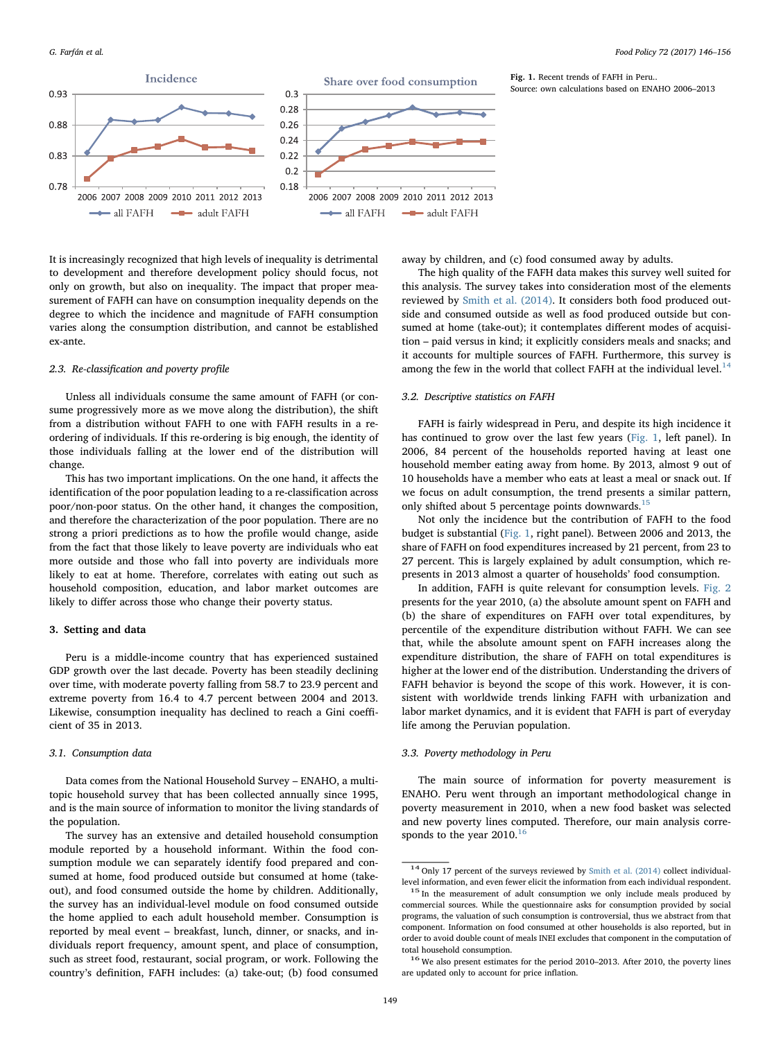<span id="page-3-2"></span>

It is increasingly recognized that high levels of inequality is detrimental to development and therefore development policy should focus, not only on growth, but also on inequality. The impact that proper measurement of FAFH can have on consumption inequality depends on the degree to which the incidence and magnitude of FAFH consumption varies along the consumption distribution, and cannot be established ex-ante.

#### 2.3. Re-classification and poverty profile

Unless all individuals consume the same amount of FAFH (or consume progressively more as we move along the distribution), the shift from a distribution without FAFH to one with FAFH results in a reordering of individuals. If this re-ordering is big enough, the identity of those individuals falling at the lower end of the distribution will change.

This has two important implications. On the one hand, it affects the identification of the poor population leading to a re-classification across poor/non-poor status. On the other hand, it changes the composition, and therefore the characterization of the poor population. There are no strong a priori predictions as to how the profile would change, aside from the fact that those likely to leave poverty are individuals who eat more outside and those who fall into poverty are individuals more likely to eat at home. Therefore, correlates with eating out such as household composition, education, and labor market outcomes are likely to differ across those who change their poverty status.

#### <span id="page-3-0"></span>3. Setting and data

Peru is a middle-income country that has experienced sustained GDP growth over the last decade. Poverty has been steadily declining over time, with moderate poverty falling from 58.7 to 23.9 percent and extreme poverty from 16.4 to 4.7 percent between 2004 and 2013. Likewise, consumption inequality has declined to reach a Gini coefficient of 35 in 2013.

#### 3.1. Consumption data

Data comes from the National Household Survey – ENAHO, a multitopic household survey that has been collected annually since 1995, and is the main source of information to monitor the living standards of the population.

The survey has an extensive and detailed household consumption module reported by a household informant. Within the food consumption module we can separately identify food prepared and consumed at home, food produced outside but consumed at home (takeout), and food consumed outside the home by children. Additionally, the survey has an individual-level module on food consumed outside the home applied to each adult household member. Consumption is reported by meal event – breakfast, lunch, dinner, or snacks, and individuals report frequency, amount spent, and place of consumption, such as street food, restaurant, social program, or work. Following the country's definition, FAFH includes: (a) take-out; (b) food consumed

away by children, and (c) food consumed away by adults.

The high quality of the FAFH data makes this survey well suited for this analysis. The survey takes into consideration most of the elements reviewed by [Smith et al. \(2014\)](#page-10-3). It considers both food produced outside and consumed outside as well as food produced outside but consumed at home (take-out); it contemplates different modes of acquisition – paid versus in kind; it explicitly considers meals and snacks; and it accounts for multiple sources of FAFH. Furthermore, this survey is among the few in the world that collect FAFH at the individual level. $^{14}$  $^{14}$  $^{14}$ 

## 3.2. Descriptive statistics on FAFH

FAFH is fairly widespread in Peru, and despite its high incidence it has continued to grow over the last few years [\(Fig. 1](#page-3-2), left panel). In 2006, 84 percent of the households reported having at least one household member eating away from home. By 2013, almost 9 out of 10 households have a member who eats at least a meal or snack out. If we focus on adult consumption, the trend presents a similar pattern, only shifted about 5 percentage points downwards.<sup>[15](#page-3-3)</sup>

Not only the incidence but the contribution of FAFH to the food budget is substantial ([Fig. 1,](#page-3-2) right panel). Between 2006 and 2013, the share of FAFH on food expenditures increased by 21 percent, from 23 to 27 percent. This is largely explained by adult consumption, which represents in 2013 almost a quarter of households' food consumption.

In addition, FAFH is quite relevant for consumption levels. [Fig. 2](#page-4-0) presents for the year 2010, (a) the absolute amount spent on FAFH and (b) the share of expenditures on FAFH over total expenditures, by percentile of the expenditure distribution without FAFH. We can see that, while the absolute amount spent on FAFH increases along the expenditure distribution, the share of FAFH on total expenditures is higher at the lower end of the distribution. Understanding the drivers of FAFH behavior is beyond the scope of this work. However, it is consistent with worldwide trends linking FAFH with urbanization and labor market dynamics, and it is evident that FAFH is part of everyday life among the Peruvian population.

# 3.3. Poverty methodology in Peru

The main source of information for poverty measurement is ENAHO. Peru went through an important methodological change in poverty measurement in 2010, when a new food basket was selected and new poverty lines computed. Therefore, our main analysis corresponds to the year  $2010$ .<sup>[16](#page-3-4)</sup>

<span id="page-3-1"></span><sup>&</sup>lt;sup>14</sup> Only 17 percent of the surveys reviewed by [Smith et al. \(2014\)](#page-10-3) collect individuallevel information, and even fewer elicit the information from each individual respondent. <sup>15</sup> In the measurement of adult consumption we only include meals produced by

<span id="page-3-3"></span>commercial sources. While the questionnaire asks for consumption provided by social programs, the valuation of such consumption is controversial, thus we abstract from that component. Information on food consumed at other households is also reported, but in order to avoid double count of meals INEI excludes that component in the computation of total household consumption.<br><sup>16</sup> We also present estimates for the period 2010–2013. After 2010, the poverty lines

<span id="page-3-4"></span>are updated only to account for price inflation.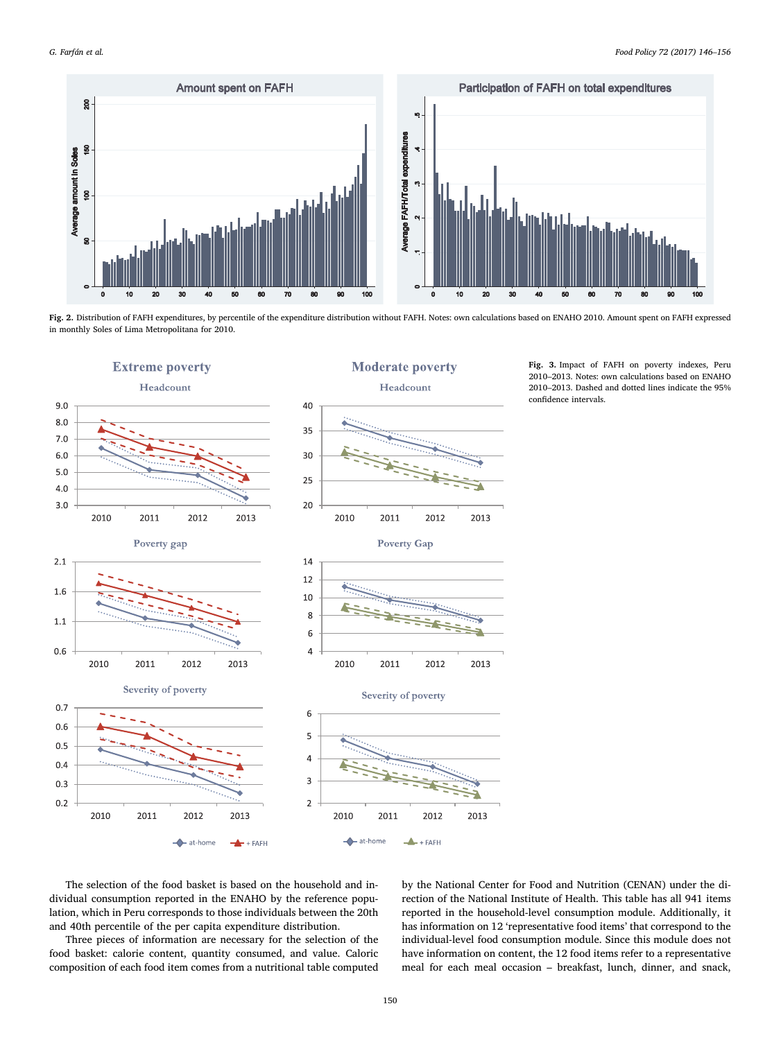<span id="page-4-0"></span>

Fig. 2. Distribution of FAFH expenditures, by percentile of the expenditure distribution without FAFH. Notes: own calculations based on ENAHO 2010. Amount spent on FAFH expressed in monthly Soles of Lima Metropolitana for 2010.

<span id="page-4-1"></span>

Fig. 3. Impact of FAFH on poverty indexes, Peru 2010–2013. Notes: own calculations based on ENAHO 2010–2013. Dashed and dotted lines indicate the 95% confidence intervals.

The selection of the food basket is based on the household and individual consumption reported in the ENAHO by the reference population, which in Peru corresponds to those individuals between the 20th and 40th percentile of the per capita expenditure distribution.

Three pieces of information are necessary for the selection of the food basket: calorie content, quantity consumed, and value. Caloric composition of each food item comes from a nutritional table computed

by the National Center for Food and Nutrition (CENAN) under the direction of the National Institute of Health. This table has all 941 items reported in the household-level consumption module. Additionally, it has information on 12 'representative food items' that correspond to the individual-level food consumption module. Since this module does not have information on content, the 12 food items refer to a representative meal for each meal occasion – breakfast, lunch, dinner, and snack,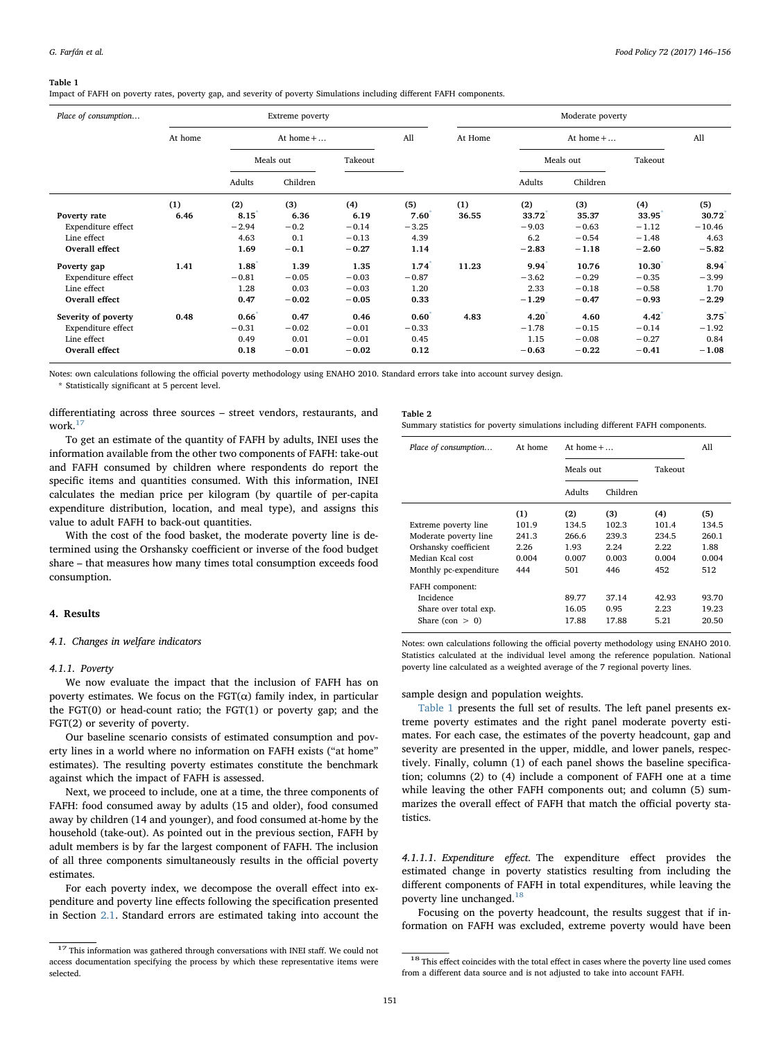#### <span id="page-5-2"></span>Table 1

Impact of FAFH on poverty rates, poverty gap, and severity of poverty Simulations including different FAFH components.

| Place of consumption |         |                   | Extreme poverty |         |                  | Moderate poverty  |         |           |          |          |
|----------------------|---------|-------------------|-----------------|---------|------------------|-------------------|---------|-----------|----------|----------|
|                      | At home | At home $+ \dots$ |                 | All     | At Home          | At home $+ \dots$ |         |           | All      |          |
|                      |         |                   | Meals out       | Takeout |                  |                   |         | Meals out | Takeout  |          |
|                      |         | Adults            | Children        |         |                  |                   | Adults  | Children  |          |          |
|                      | (1)     | (2)               | (3)             | (4)     | (5)              | (1)               | (2)     | (3)       | (4)      | (5)      |
| Poverty rate         | 6.46    | 8.15              | 6.36            | 6.19    | 7.60             | 36.55             | 33.72   | 35.37     | 33.95    | 30.72    |
| Expenditure effect   |         | $-2.94$           | $-0.2$          | $-0.14$ | $-3.25$          |                   | $-9.03$ | $-0.63$   | $-1.12$  | $-10.46$ |
| Line effect          |         | 4.63              | 0.1             | $-0.13$ | 4.39             |                   | 6.2     | $-0.54$   | $-1.48$  | 4.63     |
| Overall effect       |         | 1.69              | $-0.1$          | $-0.27$ | 1.14             |                   | $-2.83$ | $-1.18$   | $-2.60$  | $-5.82$  |
| Poverty gap          | 1.41    | 1.88              | 1.39            | 1.35    | 1.74             | 11.23             | 9.94    | 10.76     | 10.30    | 8.94     |
| Expenditure effect   |         | $-0.81$           | $-0.05$         | $-0.03$ | $-0.87$          |                   | $-3.62$ | $-0.29$   | $-0.35$  | $-3.99$  |
| Line effect          |         | 1.28              | 0.03            | $-0.03$ | 1.20             |                   | 2.33    | $-0.18$   | $-0.58$  | 1.70     |
| Overall effect       |         | 0.47              | $-0.02$         | $-0.05$ | 0.33             |                   | $-1.29$ | $-0.47$   | $-0.93$  | $-2.29$  |
| Severity of poverty  | 0.48    | $0.66^{\degree}$  | 0.47            | 0.46    | $0.60^{\degree}$ | 4.83              | 4.20    | 4.60      | $4.42^*$ | 3.75     |
| Expenditure effect   |         | $-0.31$           | $-0.02$         | $-0.01$ | $-0.33$          |                   | $-1.78$ | $-0.15$   | $-0.14$  | $-1.92$  |
| Line effect          |         | 0.49              | 0.01            | $-0.01$ | 0.45             |                   | 1.15    | $-0.08$   | $-0.27$  | 0.84     |
| Overall effect       |         | 0.18              | $-0.01$         | $-0.02$ | 0.12             |                   | $-0.63$ | $-0.22$   | $-0.41$  | $-1.08$  |

<span id="page-5-4"></span>Notes: own calculations following the official poverty methodology using ENAHO 2010. Standard errors take into account survey design. \* Statistically significant at 5 percent level.

differentiating across three sources – street vendors, restaurants, and work.<sup>[17](#page-5-1)</sup>

To get an estimate of the quantity of FAFH by adults, INEI uses the information available from the other two components of FAFH: take-out and FAFH consumed by children where respondents do report the specific items and quantities consumed. With this information, INEI calculates the median price per kilogram (by quartile of per-capita expenditure distribution, location, and meal type), and assigns this value to adult FAFH to back-out quantities.

With the cost of the food basket, the moderate poverty line is determined using the Orshansky coefficient or inverse of the food budget share – that measures how many times total consumption exceeds food consumption.

# <span id="page-5-0"></span>4. Results

# 4.1. Changes in welfare indicators

## 4.1.1. Poverty

We now evaluate the impact that the inclusion of FAFH has on poverty estimates. We focus on the  $FGT(α)$  family index, in particular the FGT(0) or head-count ratio; the FGT(1) or poverty gap; and the FGT(2) or severity of poverty.

Our baseline scenario consists of estimated consumption and poverty lines in a world where no information on FAFH exists ("at home" estimates). The resulting poverty estimates constitute the benchmark against which the impact of FAFH is assessed.

Next, we proceed to include, one at a time, the three components of FAFH: food consumed away by adults (15 and older), food consumed away by children (14 and younger), and food consumed at-home by the household (take-out). As pointed out in the previous section, FAFH by adult members is by far the largest component of FAFH. The inclusion of all three components simultaneously results in the official poverty estimates.

For each poverty index, we decompose the overall effect into expenditure and poverty line effects following the specification presented in Section [2.1.](#page-2-8) Standard errors are estimated taking into account the

<span id="page-5-5"></span>Table 2 Summary statistics for poverty simulations including different FAFH components.

| Place of consumption   | At home | At home $+ \dots$ |          |         | All   |
|------------------------|---------|-------------------|----------|---------|-------|
|                        |         | Meals out         |          | Takeout |       |
|                        |         | Adults            | Children |         |       |
|                        | (1)     | (2)               | (3)      | (4)     | (5)   |
| Extreme poverty line   | 101.9   | 134.5             | 102.3    | 101.4   | 134.5 |
| Moderate poverty line  | 241.3   | 266.6             | 239.3    | 234.5   | 260.1 |
| Orshansky coefficient  | 2.26    | 1.93              | 2.24     | 2.22    | 1.88  |
| Median Kcal cost       | 0.004   | 0.007             | 0.003    | 0.004   | 0.004 |
| Monthly pc-expenditure | 444     | 501               | 446      | 452     | 512   |
| FAFH component:        |         |                   |          |         |       |
| Incidence              |         | 89.77             | 37.14    | 42.93   | 93.70 |
| Share over total exp.  |         | 16.05             | 0.95     | 2.23    | 19.23 |
| Share (con $> 0$ )     |         | 17.88             | 17.88    | 5.21    | 20.50 |

Notes: own calculations following the official poverty methodology using ENAHO 2010. Statistics calculated at the individual level among the reference population. National poverty line calculated as a weighted average of the 7 regional poverty lines.

sample design and population weights.

[Table 1](#page-5-2) presents the full set of results. The left panel presents extreme poverty estimates and the right panel moderate poverty estimates. For each case, the estimates of the poverty headcount, gap and severity are presented in the upper, middle, and lower panels, respectively. Finally, column (1) of each panel shows the baseline specification; columns (2) to (4) include a component of FAFH one at a time while leaving the other FAFH components out; and column (5) summarizes the overall effect of FAFH that match the official poverty statistics.

4.1.1.1. Expenditure effect. The expenditure effect provides the estimated change in poverty statistics resulting from including the different components of FAFH in total expenditures, while leaving the poverty line unchanged. $18$ 

Focusing on the poverty headcount, the results suggest that if information on FAFH was excluded, extreme poverty would have been

<span id="page-5-1"></span> $^{17}$  This information was gathered through conversations with INEI staff. We could not access documentation specifying the process by which these representative items were selected.

<span id="page-5-3"></span> $^{18}$  This effect coincides with the total effect in cases where the poverty line used comes from a different data source and is not adjusted to take into account FAFH.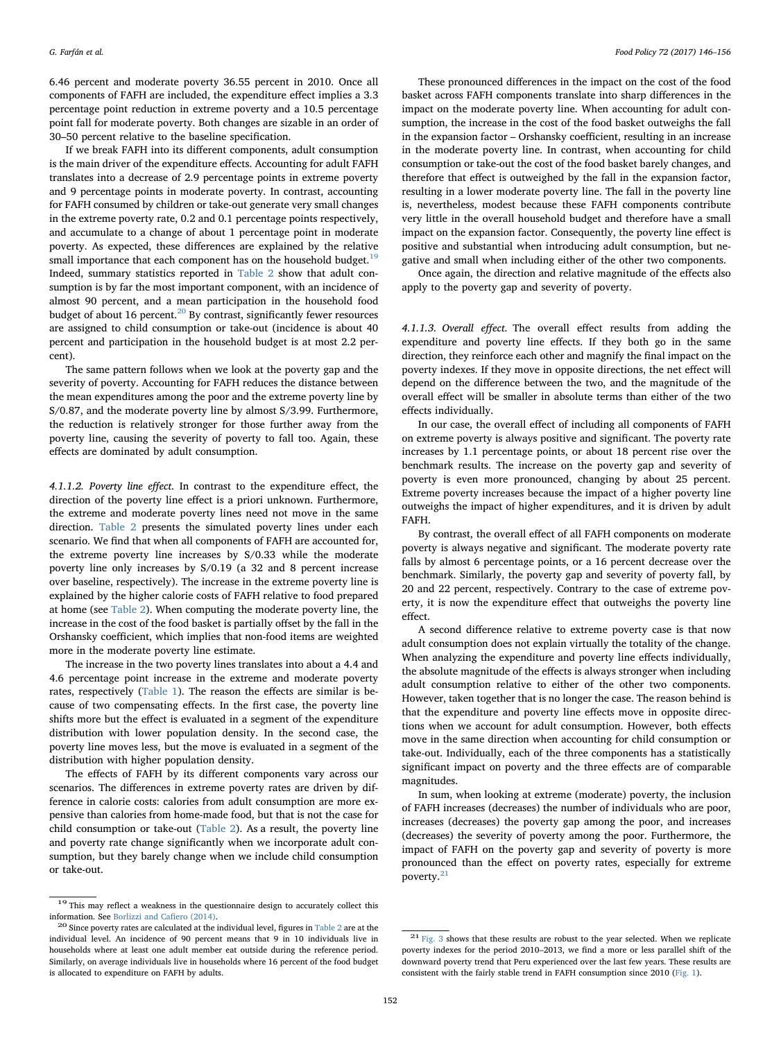6.46 percent and moderate poverty 36.55 percent in 2010. Once all components of FAFH are included, the expenditure effect implies a 3.3 percentage point reduction in extreme poverty and a 10.5 percentage point fall for moderate poverty. Both changes are sizable in an order of 30–50 percent relative to the baseline specification.

If we break FAFH into its different components, adult consumption is the main driver of the expenditure effects. Accounting for adult FAFH translates into a decrease of 2.9 percentage points in extreme poverty and 9 percentage points in moderate poverty. In contrast, accounting for FAFH consumed by children or take-out generate very small changes in the extreme poverty rate, 0.2 and 0.1 percentage points respectively, and accumulate to a change of about 1 percentage point in moderate poverty. As expected, these differences are explained by the relative small importance that each component has on the household budget. $19$ Indeed, summary statistics reported in [Table 2](#page-5-5) show that adult consumption is by far the most important component, with an incidence of almost 90 percent, and a mean participation in the household food budget of about 16 percent.<sup>20</sup> By contrast, significantly fewer resources are assigned to child consumption or take-out (incidence is about 40 percent and participation in the household budget is at most 2.2 percent).

The same pattern follows when we look at the poverty gap and the severity of poverty. Accounting for FAFH reduces the distance between the mean expenditures among the poor and the extreme poverty line by S/0.87, and the moderate poverty line by almost S/3.99. Furthermore, the reduction is relatively stronger for those further away from the poverty line, causing the severity of poverty to fall too. Again, these effects are dominated by adult consumption.

4.1.1.2. Poverty line effect. In contrast to the expenditure effect, the direction of the poverty line effect is a priori unknown. Furthermore, the extreme and moderate poverty lines need not move in the same direction. [Table 2](#page-5-5) presents the simulated poverty lines under each scenario. We find that when all components of FAFH are accounted for, the extreme poverty line increases by S/0.33 while the moderate poverty line only increases by S/0.19 (a 32 and 8 percent increase over baseline, respectively). The increase in the extreme poverty line is explained by the higher calorie costs of FAFH relative to food prepared at home (see [Table 2](#page-5-5)). When computing the moderate poverty line, the increase in the cost of the food basket is partially offset by the fall in the Orshansky coefficient, which implies that non-food items are weighted more in the moderate poverty line estimate.

The increase in the two poverty lines translates into about a 4.4 and 4.6 percentage point increase in the extreme and moderate poverty rates, respectively [\(Table 1\)](#page-5-2). The reason the effects are similar is because of two compensating effects. In the first case, the poverty line shifts more but the effect is evaluated in a segment of the expenditure distribution with lower population density. In the second case, the poverty line moves less, but the move is evaluated in a segment of the distribution with higher population density.

The effects of FAFH by its different components vary across our scenarios. The differences in extreme poverty rates are driven by difference in calorie costs: calories from adult consumption are more expensive than calories from home-made food, but that is not the case for child consumption or take-out ([Table 2\)](#page-5-5). As a result, the poverty line and poverty rate change significantly when we incorporate adult consumption, but they barely change when we include child consumption or take-out.

These pronounced differences in the impact on the cost of the food basket across FAFH components translate into sharp differences in the impact on the moderate poverty line. When accounting for adult consumption, the increase in the cost of the food basket outweighs the fall in the expansion factor – Orshansky coefficient, resulting in an increase in the moderate poverty line. In contrast, when accounting for child consumption or take-out the cost of the food basket barely changes, and therefore that effect is outweighed by the fall in the expansion factor, resulting in a lower moderate poverty line. The fall in the poverty line is, nevertheless, modest because these FAFH components contribute very little in the overall household budget and therefore have a small impact on the expansion factor. Consequently, the poverty line effect is positive and substantial when introducing adult consumption, but negative and small when including either of the other two components.

Once again, the direction and relative magnitude of the effects also apply to the poverty gap and severity of poverty.

4.1.1.3. Overall effect. The overall effect results from adding the expenditure and poverty line effects. If they both go in the same direction, they reinforce each other and magnify the final impact on the poverty indexes. If they move in opposite directions, the net effect will depend on the difference between the two, and the magnitude of the overall effect will be smaller in absolute terms than either of the two effects individually.

In our case, the overall effect of including all components of FAFH on extreme poverty is always positive and significant. The poverty rate increases by 1.1 percentage points, or about 18 percent rise over the benchmark results. The increase on the poverty gap and severity of poverty is even more pronounced, changing by about 25 percent. Extreme poverty increases because the impact of a higher poverty line outweighs the impact of higher expenditures, and it is driven by adult FAFH.

By contrast, the overall effect of all FAFH components on moderate poverty is always negative and significant. The moderate poverty rate falls by almost 6 percentage points, or a 16 percent decrease over the benchmark. Similarly, the poverty gap and severity of poverty fall, by 20 and 22 percent, respectively. Contrary to the case of extreme poverty, it is now the expenditure effect that outweighs the poverty line effect.

A second difference relative to extreme poverty case is that now adult consumption does not explain virtually the totality of the change. When analyzing the expenditure and poverty line effects individually, the absolute magnitude of the effects is always stronger when including adult consumption relative to either of the other two components. However, taken together that is no longer the case. The reason behind is that the expenditure and poverty line effects move in opposite directions when we account for adult consumption. However, both effects move in the same direction when accounting for child consumption or take-out. Individually, each of the three components has a statistically significant impact on poverty and the three effects are of comparable magnitudes.

In sum, when looking at extreme (moderate) poverty, the inclusion of FAFH increases (decreases) the number of individuals who are poor, increases (decreases) the poverty gap among the poor, and increases (decreases) the severity of poverty among the poor. Furthermore, the impact of FAFH on the poverty gap and severity of poverty is more pronounced than the effect on poverty rates, especially for extreme poverty.<sup>[21](#page-6-2)</sup>

<span id="page-6-0"></span><sup>&</sup>lt;sup>19</sup> This may reflect a weakness in the questionnaire design to accurately collect this information. See [Borlizzi and Ca](#page-9-0)fiero (2014).  $^{20}$  Since poverty rates are calculated at the individual level, figures in [Table 2](#page-5-5) are at the

<span id="page-6-1"></span>individual level. An incidence of 90 percent means that 9 in 10 individuals live in households where at least one adult member eat outside during the reference period. Similarly, on average individuals live in households where 16 percent of the food budget is allocated to expenditure on FAFH by adults.

<span id="page-6-2"></span><sup>&</sup>lt;sup>21</sup> [Fig. 3](#page-4-1) shows that these results are robust to the year selected. When we replicate poverty indexes for the period 2010–2013, we find a more or less parallel shift of the downward poverty trend that Peru experienced over the last few years. These results are consistent with the fairly stable trend in FAFH consumption since 2010 [\(Fig. 1](#page-3-2)).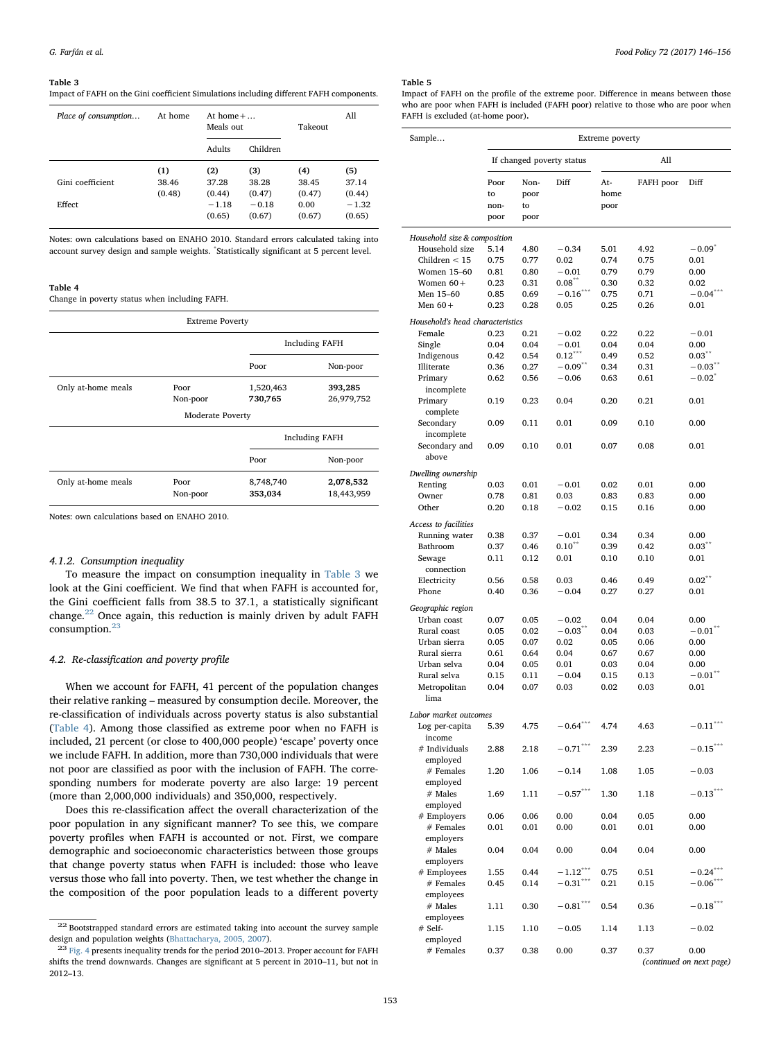#### <span id="page-7-0"></span>Table 3

Impact of FAFH on the Gini coefficient Simulations including different FAFH components.

| Place of consumption       | At home                | At home $+ \dots$<br>Meals out              |                                             | Takeout                                  | All                                         |
|----------------------------|------------------------|---------------------------------------------|---------------------------------------------|------------------------------------------|---------------------------------------------|
|                            |                        | Adults                                      | Children                                    |                                          |                                             |
| Gini coefficient<br>Effect | (1)<br>38.46<br>(0.48) | (2)<br>37.28<br>(0.44)<br>$-1.18$<br>(0.65) | (3)<br>38.28<br>(0.47)<br>$-0.18$<br>(0.67) | (4)<br>38.45<br>(0.47)<br>0.00<br>(0.67) | (5)<br>37.14<br>(0.44)<br>$-1.32$<br>(0.65) |

Notes: own calculations based on ENAHO 2010. Standard errors calculated taking into account survey design and sample weights. \* Statistically significant at 5 percent level.

#### <span id="page-7-3"></span>Table 4

Change in poverty status when including FAFH.

| <b>Extreme Poverty</b> |                         |                                               |                         |  |  |  |
|------------------------|-------------------------|-----------------------------------------------|-------------------------|--|--|--|
|                        |                         |                                               | <b>Including FAFH</b>   |  |  |  |
|                        |                         | Poor                                          | Non-poor                |  |  |  |
| Only at-home meals     | Poor<br>Non-poor        | 1,520,463<br>393,285<br>730,765<br>26,979,752 |                         |  |  |  |
|                        | <b>Moderate Poverty</b> |                                               |                         |  |  |  |
|                        |                         |                                               | <b>Including FAFH</b>   |  |  |  |
|                        |                         | Poor                                          | Non-poor                |  |  |  |
| Only at-home meals     | Poor<br>Non-poor        | 8,748,740<br>353,034                          | 2,078,532<br>18,443,959 |  |  |  |

Notes: own calculations based on ENAHO 2010.

#### 4.1.2. Consumption inequality

To measure the impact on consumption inequality in [Table 3](#page-7-0) we look at the Gini coefficient. We find that when FAFH is accounted for, the Gini coefficient falls from 38.5 to 37.1, a statistically significant change.<sup>[22](#page-7-1)</sup> Once again, this reduction is mainly driven by adult FAFH consumption.<sup>[23](#page-7-2)</sup>

#### 4.2. Re-classification and poverty profile

When we account for FAFH, 41 percent of the population changes their relative ranking – measured by consumption decile. Moreover, the re-classification of individuals across poverty status is also substantial ([Table 4\)](#page-7-3). Among those classified as extreme poor when no FAFH is included, 21 percent (or close to 400,000 people) 'escape' poverty once we include FAFH. In addition, more than 730,000 individuals that were not poor are classified as poor with the inclusion of FAFH. The corresponding numbers for moderate poverty are also large: 19 percent (more than 2,000,000 individuals) and 350,000, respectively.

Does this re-classification affect the overall characterization of the poor population in any significant manner? To see this, we compare poverty profiles when FAFH is accounted or not. First, we compare demographic and socioeconomic characteristics between those groups that change poverty status when FAFH is included: those who leave versus those who fall into poverty. Then, we test whether the change in the composition of the poor population leads to a different poverty

#### <span id="page-7-4"></span>Table 5

Impact of FAFH on the profile of the extreme poor. Difference in means between those who are poor when FAFH is included (FAFH poor) relative to those who are poor when FAFH is excluded (at-home poor).

| Sample                           | Extreme poverty    |                    |                           |                     |              |                                  |  |  |  |
|----------------------------------|--------------------|--------------------|---------------------------|---------------------|--------------|----------------------------------|--|--|--|
|                                  |                    |                    | If changed poverty status |                     | All          |                                  |  |  |  |
|                                  | Poor<br>to<br>non- | Non-<br>poor<br>to | Diff                      | At-<br>home<br>poor | FAFH poor    | Diff                             |  |  |  |
|                                  | poor               | poor               |                           |                     |              |                                  |  |  |  |
| Household size & composition     |                    |                    |                           |                     |              |                                  |  |  |  |
| Household size                   | 5.14               | 4.80               | $-0.34$                   | 5.01                | 4.92         | $-0.09^{*}$                      |  |  |  |
| Children $<$ 15                  | 0.75               | 0.77               | 0.02                      | 0.74                | 0.75         | 0.01                             |  |  |  |
| Women 15-60                      | 0.81               | 0.80               | $-0.01$                   | 0.79                | 0.79         | 0.00                             |  |  |  |
| Women $60+$                      | 0.23               | 0.31               | 0.08                      | 0.30                | 0.32         | 0.02                             |  |  |  |
| Men 15-60                        | 0.85               | 0.69               | $-0.16$                   | 0.75                | 0.71         | $-0.04$                          |  |  |  |
| Men $60+$                        | 0.23               | 0.28               | 0.05                      | 0.25                | 0.26         | 0.01                             |  |  |  |
| Household's head characteristics |                    |                    |                           |                     |              |                                  |  |  |  |
| Female                           | 0.23               | 0.21               | $-0.02$                   | 0.22                | 0.22         | $-0.01$                          |  |  |  |
| Single                           | 0.04               | 0.04               | $-0.01$                   | 0.04                | 0.04         | 0.00                             |  |  |  |
| Indigenous                       | 0.42               | 0.54               | $0.12***$                 | 0.49                | 0.52         | $0.03***$                        |  |  |  |
| Illiterate                       | 0.36               | 0.27               | $-0.09**$                 | 0.34                | 0.31         | $-0.03$ <sup>**</sup>            |  |  |  |
| Primary<br>incomplete            | 0.62               | 0.56               | $-0.06$                   | 0.63                | 0.61         | $-0.02^{\degree}$                |  |  |  |
| Primary<br>complete              | 0.19               | 0.23               | 0.04                      | 0.20                | 0.21         | 0.01                             |  |  |  |
| Secondary                        | 0.09               | 0.11               | 0.01                      | 0.09                | 0.10         | 0.00                             |  |  |  |
| incomplete<br>Secondary and      | 0.09               | 0.10               | 0.01                      | 0.07                | 0.08         | 0.01                             |  |  |  |
| above<br>Dwelling ownership      |                    |                    |                           |                     |              |                                  |  |  |  |
| Renting                          | 0.03               | $_{0.01}$          | $-0.01$                   | 0.02                | 0.01         | 0.00                             |  |  |  |
| Owner                            | 0.78               | $_{0.81}$          | 0.03                      | 0.83                | 0.83         | 0.00                             |  |  |  |
| Other                            | 0.20               | $_{0.18}$          | $-0.02$                   | 0.15                | 0.16         | 0.00                             |  |  |  |
|                                  |                    |                    |                           |                     |              |                                  |  |  |  |
| Access to facilities             |                    |                    |                           |                     |              |                                  |  |  |  |
| Running water                    | 0.38               | 0.37               | $-0.01$                   | 0.34                | 0.34         | 0.00                             |  |  |  |
| Bathroom                         | 0.37               | 0.46               | $0.10^{17}$               | 0.39                | 0.42         | 0.03                             |  |  |  |
| Sewage                           | 0.11               | 0.12               | 0.01                      | 0.10                | 0.10         | 0.01                             |  |  |  |
| connection                       |                    |                    |                           |                     |              |                                  |  |  |  |
| Electricity                      | 0.56               | 0.58               | 0.03                      | 0.46                | 0.49         | $0.02***$                        |  |  |  |
| Phone                            | 0.40               | 0.36               | $-0.04$                   | 0.27                | 0.27         | 0.01                             |  |  |  |
| Geographic region                |                    |                    |                           |                     |              |                                  |  |  |  |
| Urban coast                      | 0.07               | 0.05               | $-0.02$                   | 0.04                | 0.04         | 0.00                             |  |  |  |
| Rural coast                      | 0.05               | $_{0.02}$          | $-0.03$ <sup>**</sup>     | 0.04                | 0.03         | $-0.01$ **                       |  |  |  |
| Urban sierra                     | 0.05               | 0.07               | 0.02                      | 0.05                | 0.06         | 0.00                             |  |  |  |
| Rural sierra                     | 0.61               | 0.64               | 0.04                      | 0.67                | 0.67         | 0.00                             |  |  |  |
| Urban selva                      | 0.04               | 0.05               | $_{0.01}$                 | 0.03                | 0.04         | 0.00                             |  |  |  |
| Rural selva                      | 0.15               | 0.11               | $-0.04$                   | 0.15                | 0.13         | $-0.01$ **                       |  |  |  |
| Metropolitan<br>lima             | 0.04               | 0.07               | 0.03                      | 0.02                | 0.03         | 0.01                             |  |  |  |
| Labor market outcomes            |                    |                    |                           |                     |              |                                  |  |  |  |
| Log per-capita<br>income         | 5.39               | 4.75               | $-0.64***$                | 4.74                | 4.63         | $-0.11$ <sup>***</sup>           |  |  |  |
| # Individuals                    | 2.88               | 2.18               | $-0.71***$                | 2.39                | 2.23         | $-0.15***$                       |  |  |  |
| employed<br>$\#$ Females         | 1.20               | 1.06               | $-0.14$                   | 1.08                | 1.05         | $-0.03$                          |  |  |  |
| employed<br>$#$ Males            | 1.69               | 1.11               | $-0.57***$                | 1.30                | 1.18         | $-0.13***$                       |  |  |  |
| employed                         |                    |                    |                           |                     |              |                                  |  |  |  |
| # Employers                      | 0.06               | 0.06               | 0.00                      | 0.04                | 0.05         | 0.00                             |  |  |  |
| # Females                        | 0.01               | 0.01               | 0.00                      | 0.01                | 0.01         | 0.00                             |  |  |  |
| employers<br># Males             | 0.04               | 0.04               | 0.00                      | 0.04                | 0.04         | 0.00                             |  |  |  |
| employers                        |                    |                    | $-1.12***$                |                     |              | $-0.24***$                       |  |  |  |
| # Employees<br># Females         | 1.55<br>0.45       | 0.44<br>0.14       | $-0.31***$                | 0.75<br>0.21        | 0.51<br>0.15 | $-0.06***$                       |  |  |  |
| employees<br># Males             | 1.11               | 0.30               | $-0.81***$                | 0.54                | 0.36         | $-0.18***$                       |  |  |  |
| employees<br># Self-             | 1.15               | 1.10               | $-0.05$                   | 1.14                | 1.13         | $-0.02$                          |  |  |  |
| employed<br>$#$ Females          | 0.37               | 0.38               | 0.00                      | 0.37                | 0.37         | 0.00<br>(continued on next page) |  |  |  |
|                                  |                    |                    |                           |                     |              |                                  |  |  |  |

<span id="page-7-1"></span><sup>&</sup>lt;sup>22</sup> Bootstrapped standard errors are estimated taking into account the survey sample design and population weights [\(Bhattacharya, 2005, 2007](#page-9-5)).<br><sup>23</sup> [Fig. 4](#page-9-6) presents inequality trends for the period 2010–2013. Proper account for FAFH

<span id="page-7-2"></span>shifts the trend downwards. Changes are significant at 5 percent in 2010–11, but not in 2012–13.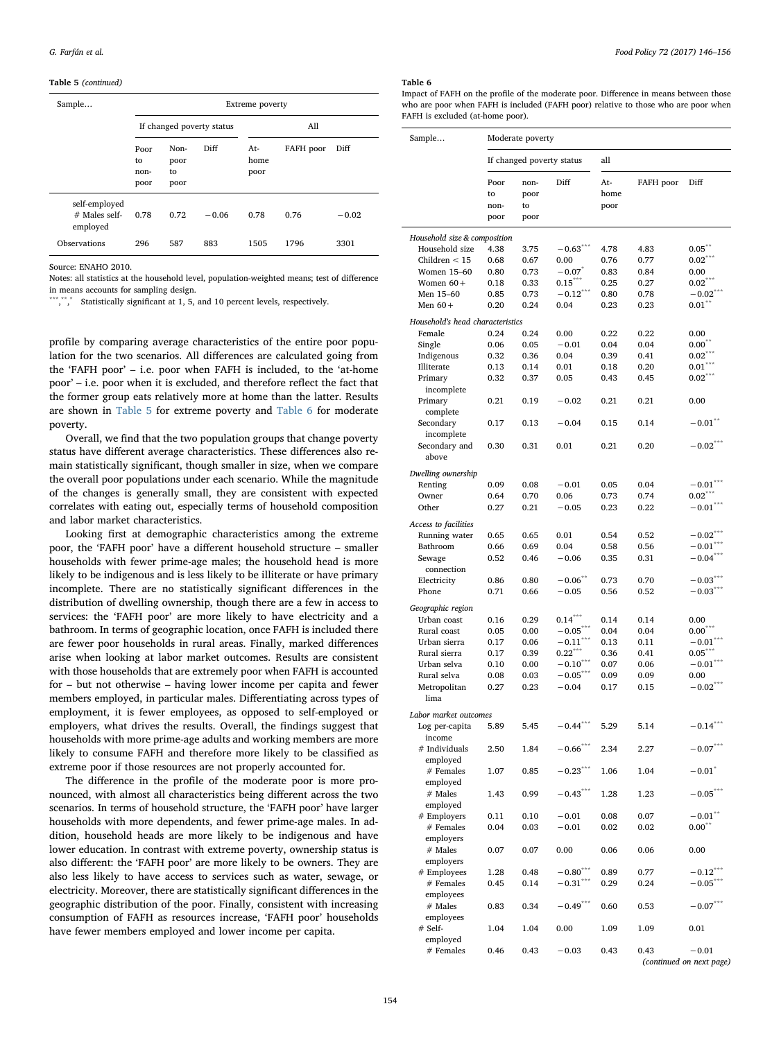#### Table 5 (continued)

| Sample                                       | Extreme poverty            |                            |         |                     |           |         |  |  |
|----------------------------------------------|----------------------------|----------------------------|---------|---------------------|-----------|---------|--|--|
|                                              | If changed poverty status  |                            |         | All                 |           |         |  |  |
|                                              | Poor<br>to<br>non-<br>poor | Non-<br>poor<br>to<br>poor | Diff    | At-<br>home<br>poor | FAFH poor | Diff    |  |  |
| self-employed<br>$#$ Males self-<br>employed | 0.78                       | 0.72                       | $-0.06$ | 0.78                | 0.76      | $-0.02$ |  |  |
| Observations                                 | 296                        | 587                        | 883     | 1505                | 1796      | 3301    |  |  |

Source: ENAHO 2010.

Notes: all statistics at the household level, population-weighted means; test of difference in means accounts for sampling design.

\*\*\*,\*\*,\* Statistically significant at 1, 5, and 10 percent levels, respectively.

profile by comparing average characteristics of the entire poor population for the two scenarios. All differences are calculated going from the 'FAFH poor' – i.e. poor when FAFH is included, to the 'at-home poor' – i.e. poor when it is excluded, and therefore reflect the fact that the former group eats relatively more at home than the latter. Results are shown in [Table 5](#page-7-4) for extreme poverty and [Table 6](#page-8-0) for moderate poverty.

Overall, we find that the two population groups that change poverty status have different average characteristics. These differences also remain statistically significant, though smaller in size, when we compare the overall poor populations under each scenario. While the magnitude of the changes is generally small, they are consistent with expected correlates with eating out, especially terms of household composition and labor market characteristics.

Looking first at demographic characteristics among the extreme poor, the 'FAFH poor' have a different household structure – smaller households with fewer prime-age males; the household head is more likely to be indigenous and is less likely to be illiterate or have primary incomplete. There are no statistically significant differences in the distribution of dwelling ownership, though there are a few in access to services: the 'FAFH poor' are more likely to have electricity and a bathroom. In terms of geographic location, once FAFH is included there are fewer poor households in rural areas. Finally, marked differences arise when looking at labor market outcomes. Results are consistent with those households that are extremely poor when FAFH is accounted for – but not otherwise – having lower income per capita and fewer members employed, in particular males. Differentiating across types of employment, it is fewer employees, as opposed to self-employed or employers, what drives the results. Overall, the findings suggest that households with more prime-age adults and working members are more likely to consume FAFH and therefore more likely to be classified as extreme poor if those resources are not properly accounted for.

The difference in the profile of the moderate poor is more pronounced, with almost all characteristics being different across the two scenarios. In terms of household structure, the 'FAFH poor' have larger households with more dependents, and fewer prime-age males. In addition, household heads are more likely to be indigenous and have lower education. In contrast with extreme poverty, ownership status is also different: the 'FAFH poor' are more likely to be owners. They are also less likely to have access to services such as water, sewage, or electricity. Moreover, there are statistically significant differences in the geographic distribution of the poor. Finally, consistent with increasing consumption of FAFH as resources increase, 'FAFH poor' households have fewer members employed and lower income per capita.

#### G. Farfán et al. *Food Policy 72 (2017) 146–156*

#### <span id="page-8-0"></span>Table 6

Impact of FAFH on the profile of the moderate poor. Difference in means between those who are poor when FAFH is included (FAFH poor) relative to those who are poor when FAFH is excluded (at-home poor).

| Sample                                     | Moderate poverty          |              |                          |              |              |                                     |  |
|--------------------------------------------|---------------------------|--------------|--------------------------|--------------|--------------|-------------------------------------|--|
|                                            | If changed poverty status |              |                          | all          |              |                                     |  |
|                                            | Poor                      | non-         | Diff                     | At-<br>home  | FAFH poor    | Diff                                |  |
|                                            | to<br>non-                | poor<br>to   |                          | poor         |              |                                     |  |
|                                            | poor                      | poor         |                          |              |              |                                     |  |
| Household size & composition               |                           |              |                          |              |              |                                     |  |
| Household size                             | 4.38                      | 3.75         | $-0.63***$               | 4.78         | 4.83         | $0.05***$                           |  |
| Children $<$ 15                            | 0.68                      | 0.67         | 0.00                     | 0.76         | 0.77         | $0.02***$                           |  |
| Women 15-60                                | 0.80                      | 0.73         | $-0.07$ <sup>*</sup>     | 0.83         | 0.84         | 0.00                                |  |
| Women $60+$                                | 0.18                      | 0.33         | $0.15***$                | 0.25         | 0.27         | $0.02***$                           |  |
| Men 15-60                                  | 0.85                      | 0.73         | $-0.12***$               | 0.80         | 0.78         | $-0.02^{7}$                         |  |
| Men $60+$                                  | 0.20                      | 0.24         | 0.04                     | 0.23         | 0.23         | 0.01                                |  |
| Household's head characteristics<br>Female |                           |              |                          |              |              |                                     |  |
|                                            | 0.24                      | 0.24         | 0.00                     | 0.22         | 0.22         | 0.00<br>$0.00^{**}$                 |  |
| Single<br>Indigenous                       | 0.06<br>0.32              | 0.05<br>0.36 | $-0.01$<br>0.04          | 0.04<br>0.39 | 0.04<br>0.41 | $0.02***$                           |  |
| Illiterate                                 | 0.13                      | 0.14         | 0.01                     | 0.18         | 0.20         | $0.01***$                           |  |
| Primary                                    | 0.32                      | 0.37         | 0.05                     | 0.43         | 0.45         | $0.02***$                           |  |
| incomplete                                 |                           |              |                          |              |              |                                     |  |
| Primary<br>complete                        | 0.21                      | 0.19         | $-0.02$                  | 0.21         | 0.21         | 0.00                                |  |
| Secondary<br>incomplete                    | 0.17                      | 0.13         | $-0.04$                  | 0.15         | 0.14         | $-0.01$ <sup>**</sup>               |  |
| Secondary and                              | 0.30                      | 0.31         | 0.01                     | 0.21         | 0.20         | $-0.02***$                          |  |
| above                                      |                           |              |                          |              |              |                                     |  |
| Dwelling ownership                         |                           |              |                          |              |              |                                     |  |
| Renting                                    | 0.09                      | 0.08         | $-0.01$                  | 0.05         | 0.04         | $-0.01***$<br>$0.02***$             |  |
| Owner                                      | 0.64                      | 0.70         | 0.06                     | 0.73         | 0.74         |                                     |  |
| Other                                      | 0.27                      | 0.21         | $-0.05$                  | 0.23         | 0.22         | $-0.01$                             |  |
| Access to facilities                       |                           |              |                          |              |              |                                     |  |
| Running water                              | 0.65                      | 0.65         | 0.01                     | 0.54         | 0.52         | $-0.02$ <sup>***</sup>              |  |
| Bathroom                                   | 0.66                      | 0.69         | 0.04                     | 0.58         | 0.56         | $-0.01***$                          |  |
| Sewage                                     | 0.52                      | 0.46         | $-0.06$                  | 0.35         | 0.31         | $-0.04***$                          |  |
| connection                                 |                           | 0.80         | $-0.06$ **               | 0.73         |              | $-0.03***$                          |  |
| Electricity<br>Phone                       | 0.86<br>0.71              | 0.66         | $-0.05$                  | 0.56         | 0.70<br>0.52 | $-0.03***$                          |  |
|                                            |                           |              |                          |              |              |                                     |  |
| Geographic region                          |                           |              |                          |              |              |                                     |  |
| Urban coast                                | 0.16                      | 0.29         | $0.14***$                | 0.14         | 0.14         | 0.00                                |  |
| Rural coast<br>Urban sierra                | 0.05                      | 0.00         | $-0.05***$<br>$-0.11***$ | 0.04         | 0.04         | $0.00***$<br>$-0.01***$             |  |
| Rural sierra                               | 0.17<br>0.17              | 0.06<br>0.39 | $0.22$ ***               | 0.13<br>0.36 | 0.11<br>0.41 | $0.05***$                           |  |
| Urban selva                                | $_{0.10}$                 | 0.00         | $-0.10***$               | 0.07         | 0.06         | $-0.01$ ***                         |  |
| Rural selva                                | $_{0.08}$                 | 0.03         | $-0.05***$               | 0.09         | 0.09         | 0.00                                |  |
| Metropolitan                               | 0.27                      | 0.23         | $-0.04$                  | 0.17         | 0.15         | $-0.02$                             |  |
| lima                                       |                           |              |                          |              |              |                                     |  |
| Labor market outcomes                      |                           |              |                          |              |              |                                     |  |
| Log per-capita<br>income                   | 5.89                      | 5.45         | $-0.44$ ***              | 5.29         | 5.14         | $-0.14***$                          |  |
| # Individuals                              | 2.50                      | 1.84         | $-0.66***$               | 2.34         | 2.27         | $-0.07***$                          |  |
| employed<br># Females                      | 1.07                      | 0.85         | $-0.23***$               | 1.06         | 1.04         | $-0.01$ <sup>*</sup>                |  |
| employed<br># Males                        | 1.43                      | 0.99         | $-0.43***$               | 1.28         | 1.23         | $-0.05$                             |  |
| employed                                   |                           |              |                          |              |              |                                     |  |
| # Employers                                | 0.11                      | 0.10         | $-0.01$                  | 0.08         | 0.07         | $-0.01$ **                          |  |
| # Females                                  | 0.04                      | 0.03         | $-0.01$                  | 0.02         | 0.02         | $0.00^{**}$                         |  |
| employers<br># Males                       | 0.07                      | 0.07         | 0.00                     | 0.06         | 0.06         | 0.00                                |  |
| employers                                  |                           |              |                          |              |              |                                     |  |
| # Employees                                | 1.28                      | 0.48         | $-0.80$ <sup>***</sup>   | 0.89         | 0.77         | $-0.12$ <sup>**</sup>               |  |
| # Females                                  | 0.45                      | 0.14         | $-0.31***$               | 0.29         | 0.24         | $-0.05^*$                           |  |
| employees<br># Males                       | 0.83                      | 0.34         | $-0.49***$               | 0.60         | 0.53         | $-0.07***$                          |  |
| employees<br># Self-                       | 1.04                      | 1.04         | 0.00                     | 1.09         | 1.09         | 0.01                                |  |
| employed                                   |                           |              |                          |              |              |                                     |  |
| # Females                                  | 0.46                      | 0.43         | $-0.03$                  | 0.43         | 0.43         | $-0.01$<br>(continued on next page) |  |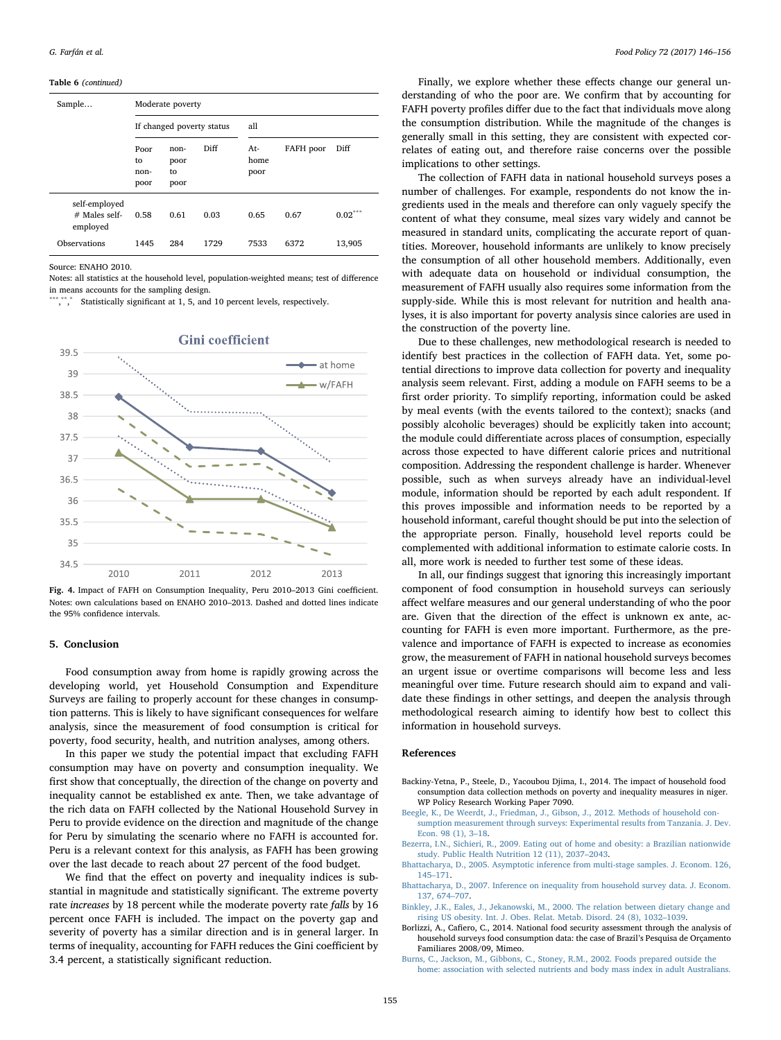Table 6 (continued)

| Sample                                       | Moderate poverty           |                            |      |                     |           |                       |  |  |  |
|----------------------------------------------|----------------------------|----------------------------|------|---------------------|-----------|-----------------------|--|--|--|
|                                              | If changed poverty status  |                            |      | all                 |           |                       |  |  |  |
|                                              | Poor<br>to<br>non-<br>poor | non-<br>poor<br>to<br>poor | Diff | At-<br>home<br>poor | FAFH poor | Diff                  |  |  |  |
| self-employed<br>$#$ Males self-<br>employed | 0.58                       | 0.61                       | 0.03 | 0.65                | 0.67      | $0.02^{\ast\ast\ast}$ |  |  |  |
| Observations                                 | 1445                       | 284                        | 1729 | 7533                | 6372      | 13,905                |  |  |  |

Source: ENAHO 2010.

Notes: all statistics at the household level, population-weighted means; test of difference in means accounts for the sampling design.

\*\*\*, \*\*, Statistically significant at 1, 5, and 10 percent levels, respectively.

<span id="page-9-6"></span>

### **Gini** coefficient

Fig. 4. Impact of FAFH on Consumption Inequality, Peru 2010–2013 Gini coefficient. Notes: own calculations based on ENAHO 2010–2013. Dashed and dotted lines indicate the 95% confidence intervals.

# <span id="page-9-4"></span>5. Conclusion

Food consumption away from home is rapidly growing across the developing world, yet Household Consumption and Expenditure Surveys are failing to properly account for these changes in consumption patterns. This is likely to have significant consequences for welfare analysis, since the measurement of food consumption is critical for poverty, food security, health, and nutrition analyses, among others.

In this paper we study the potential impact that excluding FAFH consumption may have on poverty and consumption inequality. We first show that conceptually, the direction of the change on poverty and inequality cannot be established ex ante. Then, we take advantage of the rich data on FAFH collected by the National Household Survey in Peru to provide evidence on the direction and magnitude of the change for Peru by simulating the scenario where no FAFH is accounted for. Peru is a relevant context for this analysis, as FAFH has been growing over the last decade to reach about 27 percent of the food budget.

We find that the effect on poverty and inequality indices is substantial in magnitude and statistically significant. The extreme poverty rate increases by 18 percent while the moderate poverty rate falls by 16 percent once FAFH is included. The impact on the poverty gap and severity of poverty has a similar direction and is in general larger. In terms of inequality, accounting for FAFH reduces the Gini coefficient by 3.4 percent, a statistically significant reduction.

Finally, we explore whether these effects change our general understanding of who the poor are. We confirm that by accounting for FAFH poverty profiles differ due to the fact that individuals move along the consumption distribution. While the magnitude of the changes is generally small in this setting, they are consistent with expected correlates of eating out, and therefore raise concerns over the possible implications to other settings.

The collection of FAFH data in national household surveys poses a number of challenges. For example, respondents do not know the ingredients used in the meals and therefore can only vaguely specify the content of what they consume, meal sizes vary widely and cannot be measured in standard units, complicating the accurate report of quantities. Moreover, household informants are unlikely to know precisely the consumption of all other household members. Additionally, even with adequate data on household or individual consumption, the measurement of FAFH usually also requires some information from the supply-side. While this is most relevant for nutrition and health analyses, it is also important for poverty analysis since calories are used in the construction of the poverty line.

Due to these challenges, new methodological research is needed to identify best practices in the collection of FAFH data. Yet, some potential directions to improve data collection for poverty and inequality analysis seem relevant. First, adding a module on FAFH seems to be a first order priority. To simplify reporting, information could be asked by meal events (with the events tailored to the context); snacks (and possibly alcoholic beverages) should be explicitly taken into account; the module could differentiate across places of consumption, especially across those expected to have different calorie prices and nutritional composition. Addressing the respondent challenge is harder. Whenever possible, such as when surveys already have an individual-level module, information should be reported by each adult respondent. If this proves impossible and information needs to be reported by a household informant, careful thought should be put into the selection of the appropriate person. Finally, household level reports could be complemented with additional information to estimate calorie costs. In all, more work is needed to further test some of these ideas.

In all, our findings suggest that ignoring this increasingly important component of food consumption in household surveys can seriously affect welfare measures and our general understanding of who the poor are. Given that the direction of the effect is unknown ex ante, accounting for FAFH is even more important. Furthermore, as the prevalence and importance of FAFH is expected to increase as economies grow, the measurement of FAFH in national household surveys becomes an urgent issue or overtime comparisons will become less and less meaningful over time. Future research should aim to expand and validate these findings in other settings, and deepen the analysis through methodological research aiming to identify how best to collect this information in household surveys.

#### References

- <span id="page-9-3"></span>Backiny-Yetna, P., Steele, D., Yacoubou Djima, I., 2014. The impact of household food consumption data collection methods on poverty and inequality measures in niger. WP Policy Research Working Paper 7090.
- [Beegle, K., De Weerdt, J., Friedman, J., Gibson, J., 2012. Methods of household con](http://refhub.elsevier.com/S0306-9192(17)30708-X/h0010)[sumption measurement through surveys: Experimental results from Tanzania. J. Dev.](http://refhub.elsevier.com/S0306-9192(17)30708-X/h0010) [Econ. 98 \(1\), 3](http://refhub.elsevier.com/S0306-9192(17)30708-X/h0010)–18.
- <span id="page-9-1"></span>[Bezerra, I.N., Sichieri, R., 2009. Eating out of home and obesity: a Brazilian nationwide](http://refhub.elsevier.com/S0306-9192(17)30708-X/h0015) [study. Public Health Nutrition 12 \(11\), 2037](http://refhub.elsevier.com/S0306-9192(17)30708-X/h0015)–2043.
- <span id="page-9-5"></span>[Bhattacharya, D., 2005. Asymptotic inference from multi-stage samples. J. Econom. 126,](http://refhub.elsevier.com/S0306-9192(17)30708-X/h0020) 145–[171](http://refhub.elsevier.com/S0306-9192(17)30708-X/h0020).
- [Bhattacharya, D., 2007. Inference on inequality from household survey data. J. Econom.](http://refhub.elsevier.com/S0306-9192(17)30708-X/h0025) [137, 674](http://refhub.elsevier.com/S0306-9192(17)30708-X/h0025)–707.
- [Binkley, J.K., Eales, J., Jekanowski, M., 2000. The relation between dietary change and](http://refhub.elsevier.com/S0306-9192(17)30708-X/h0030) [rising US obesity. Int. J. Obes. Relat. Metab. Disord. 24 \(8\), 1032](http://refhub.elsevier.com/S0306-9192(17)30708-X/h0030)–1039.
- <span id="page-9-0"></span>Borlizzi, A., Cafiero, C., 2014. National food security assessment through the analysis of household surveys food consumption data: the case of Brazil's Pesquisa de Orçamento Familiares 2008/09, Mimeo.
- <span id="page-9-2"></span>[Burns, C., Jackson, M., Gibbons, C., Stoney, R.M., 2002. Foods prepared outside the](http://refhub.elsevier.com/S0306-9192(17)30708-X/h0040) [home: association with selected nutrients and body mass index in adult Australians.](http://refhub.elsevier.com/S0306-9192(17)30708-X/h0040)